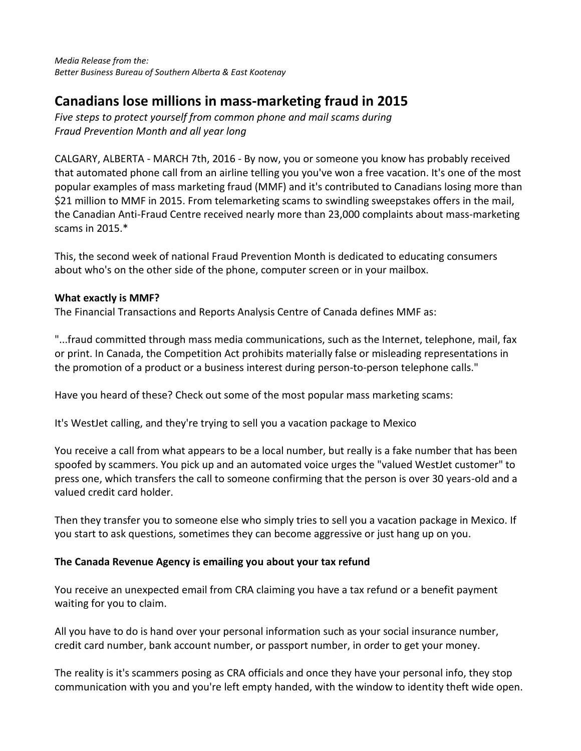*Media Release from the: Better Business Bureau of Southern Alberta & East Kootenay*

## **Canadians lose millions in mass-marketing fraud in 2015**

*Five steps to protect yourself from common phone and mail scams during Fraud Prevention Month and all year long*

CALGARY, ALBERTA - MARCH 7th, 2016 - By now, you or someone you know has probably received that automated phone call from an airline telling you you've won a free vacation. It's one of the most popular examples of mass marketing fraud (MMF) and it's contributed to Canadians losing more than \$21 million to MMF in 2015. From telemarketing scams to swindling sweepstakes offers in the mail, the Canadian Anti-Fraud Centre received nearly more than 23,000 complaints about mass-marketing scams in 2015.\*

This, the second week of national Fraud Prevention Month is dedicated to educating consumers about who's on the other side of the phone, computer screen or in your mailbox.

## **What exactly is MMF?**

The Financial Transactions and Reports Analysis Centre of Canada defines MMF as:

"...fraud committed through mass media communications, such as the Internet, telephone, mail, fax or print. In Canada, the Competition Act prohibits materially false or misleading representations in the promotion of a product or a business interest during person-to-person telephone calls."

Have you heard of these? Check out some of the most popular mass marketing scams:

It's WestJet calling, and they're trying to sell you a vacation package to Mexico

You receive a call from what appears to be a local number, but really is a fake number that has been spoofed by scammers. You pick up and an automated voice urges the "valued WestJet customer" to press one, which transfers the call to someone confirming that the person is over 30 years-old and a valued credit card holder.

Then they transfer you to someone else who simply tries to sell you a vacation package in Mexico. If you start to ask questions, sometimes they can become aggressive or just hang up on you.

## **The Canada Revenue Agency is emailing you about your tax refund**

You receive an unexpected email from CRA claiming you have a tax refund or a benefit payment waiting for you to claim.

All you have to do is hand over your personal information such as your social insurance number, credit card number, bank account number, or passport number, in order to get your money.

The reality is it's scammers posing as CRA officials and once they have your personal info, they stop communication with you and you're left empty handed, with the window to identity theft wide open.